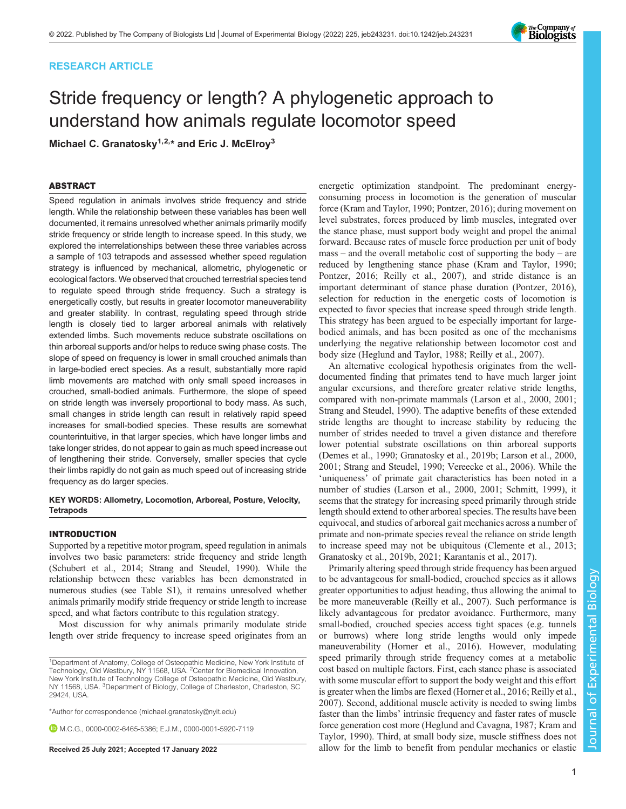## RESEARCH ARTICLE

# Stride frequency or length? A phylogenetic approach to understand how animals regulate locomotor speed

Michael C. Granatosky<sup>1,2,\*</sup> and Eric J. McElroy<sup>3</sup>

## ABSTRACT

Speed regulation in animals involves stride frequency and stride length. While the relationship between these variables has been well documented, it remains unresolved whether animals primarily modify stride frequency or stride length to increase speed. In this study, we explored the interrelationships between these three variables across a sample of 103 tetrapods and assessed whether speed regulation strategy is influenced by mechanical, allometric, phylogenetic or ecological factors. We observed that crouched terrestrial species tend to regulate speed through stride frequency. Such a strategy is energetically costly, but results in greater locomotor maneuverability and greater stability. In contrast, regulating speed through stride length is closely tied to larger arboreal animals with relatively extended limbs. Such movements reduce substrate oscillations on thin arboreal supports and/or helps to reduce swing phase costs. The slope of speed on frequency is lower in small crouched animals than in large-bodied erect species. As a result, substantially more rapid limb movements are matched with only small speed increases in crouched, small-bodied animals. Furthermore, the slope of speed on stride length was inversely proportional to body mass. As such, small changes in stride length can result in relatively rapid speed increases for small-bodied species. These results are somewhat counterintuitive, in that larger species, which have longer limbs and take longer strides, do not appear to gain as much speed increase out of lengthening their stride. Conversely, smaller species that cycle their limbs rapidly do not gain as much speed out of increasing stride frequency as do larger species.

#### KEY WORDS: Allometry, Locomotion, Arboreal, Posture, Velocity, **Tetrapods**

## INTRODUCTION

Supported by a repetitive motor program, speed regulation in animals involves two basic parameters: stride frequency and stride length [\(Schubert et al., 2014; Strang and Steudel, 1990](#page-8-0)). While the relationship between these variables has been demonstrated in numerous studies (see [Table S1\)](https://journals.biologists.com/jeb/article-lookup/DOI/10.1242/jeb.243231), it remains unresolved whether animals primarily modify stride frequency or stride length to increase speed, and what factors contribute to this regulation strategy.

Most discussion for why animals primarily modulate stride length over stride frequency to increase speed originates from an

\*Author for correspondence [\(michael.granatosky@nyit.edu\)](mailto:michael.granatosky@nyit.edu)

M.C.G., [0000-0002-6465-5386;](http://orcid.org/0000-0002-6465-5386) E.J.M., [0000-0001-5920-7119](http://orcid.org/0000-0001-5920-7119)

energetic optimization standpoint. The predominant energyconsuming process in locomotion is the generation of muscular force [\(Kram and Taylor, 1990; Pontzer, 2016](#page-8-0)); during movement on level substrates, forces produced by limb muscles, integrated over the stance phase, must support body weight and propel the animal forward. Because rates of muscle force production per unit of body mass – and the overall metabolic cost of supporting the body – are reduced by lengthening stance phase ([Kram and Taylor, 1990](#page-8-0); [Pontzer, 2016](#page-8-0); [Reilly et al., 2007](#page-8-0)), and stride distance is an important determinant of stance phase duration ([Pontzer, 2016\)](#page-8-0), selection for reduction in the energetic costs of locomotion is expected to favor species that increase speed through stride length. This strategy has been argued to be especially important for largebodied animals, and has been posited as one of the mechanisms underlying the negative relationship between locomotor cost and body size ([Heglund and Taylor, 1988](#page-7-0); [Reilly et al., 2007](#page-8-0)).

An alternative ecological hypothesis originates from the welldocumented finding that primates tend to have much larger joint angular excursions, and therefore greater relative stride lengths, compared with non-primate mammals ([Larson et al., 2000, 2001](#page-8-0); [Strang and Steudel, 1990\)](#page-8-0). The adaptive benefits of these extended stride lengths are thought to increase stability by reducing the number of strides needed to travel a given distance and therefore lower potential substrate oscillations on thin arboreal supports [\(Demes et al., 1990; Granatosky et al., 2019b;](#page-7-0) [Larson et al., 2000,](#page-8-0) [2001; Strang and Steudel, 1990; Vereecke et al., 2006](#page-8-0)). While the 'uniqueness' of primate gait characteristics has been noted in a number of studies ([Larson et al., 2000, 2001; Schmitt, 1999\)](#page-8-0), it seems that the strategy for increasing speed primarily through stride length should extend to other arboreal species. The results have been equivocal, and studies of arboreal gait mechanics across a number of primate and non-primate species reveal the reliance on stride length to increase speed may not be ubiquitous [\(Clemente et al., 2013](#page-7-0); [Granatosky et al., 2019b, 2021;](#page-7-0) [Karantanis et al., 2017](#page-8-0)).

Primarily altering speed through stride frequency has been argued to be advantageous for small-bodied, crouched species as it allows greater opportunities to adjust heading, thus allowing the animal to be more maneuverable ([Reilly et al., 2007\)](#page-8-0). Such performance is likely advantageous for predator avoidance. Furthermore, many small-bodied, crouched species access tight spaces (e.g. tunnels or burrows) where long stride lengths would only impede maneuverability [\(Horner et al., 2016](#page-7-0)). However, modulating speed primarily through stride frequency comes at a metabolic cost based on multiple factors. First, each stance phase is associated with some muscular effort to support the body weight and this effort is greater when the limbs are flexed [\(Horner et al., 2016](#page-7-0); [Reilly et al.,](#page-8-0) [2007\)](#page-8-0). Second, additional muscle activity is needed to swing limbs faster than the limbs' intrinsic frequency and faster rates of muscle force generation cost more ([Heglund and Cavagna, 1987](#page-7-0); [Kram and](#page-8-0) [Taylor, 1990\)](#page-8-0). Third, at small body size, muscle stiffness does not Received 25 July 2021; Accepted 17 January 2022 allow for the limb to benefit from pendular mechanics or elastic

Journal of Experimental Biology

 $\overline{\circ}$ 

Journal

**Experimental** 

Biology



<sup>&</sup>lt;sup>1</sup>Department of Anatomy, College of Osteopathic Medicine, New York Institute of Technology, Old Westbury, NY 11568, USA. <sup>2</sup> Center for Biomedical Innovation, New York Institute of Technology College of Osteopathic Medicine, Old Westbury, NY 11568, USA. <sup>3</sup>Department of Biology, College of Charleston, Charleston, SC 29424, USA.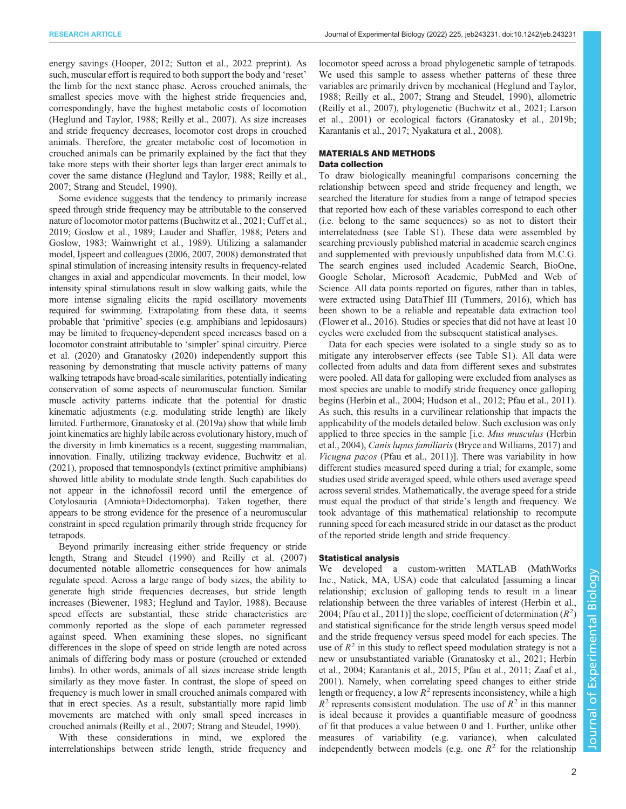energy savings ([Hooper, 2012](#page-7-0); [Sutton et al., 2022](#page-8-0) preprint). As such, muscular effort is required to both support the body and 'reset' the limb for the next stance phase. Across crouched animals, the smallest species move with the highest stride frequencies and, correspondingly, have the highest metabolic costs of locomotion [\(Heglund and Taylor, 1988](#page-7-0); [Reilly et al., 2007](#page-8-0)). As size increases and stride frequency decreases, locomotor cost drops in crouched animals. Therefore, the greater metabolic cost of locomotion in crouched animals can be primarily explained by the fact that they take more steps with their shorter legs than larger erect animals to cover the same distance ([Heglund and Taylor, 1988](#page-7-0); [Reilly et al.,](#page-8-0) [2007](#page-8-0); [Strang and Steudel, 1990\)](#page-8-0).

Some evidence suggests that the tendency to primarily increase speed through stride frequency may be attributable to the conserved nature of locomotor motor patterns ([Buchwitz et al., 2021](#page-7-0); [Cuff et al.,](#page-7-0) [2019; Goslow et al., 1989](#page-7-0); [Lauder and Shaffer, 1988](#page-8-0); [Peters and](#page-8-0) [Goslow, 1983; Wainwright et al., 1989\)](#page-8-0). Utilizing a salamander model, [Ijspeert and colleagues \(2006, 2007, 2008\)](#page-8-0) demonstrated that spinal stimulation of increasing intensity results in frequency-related changes in axial and appendicular movements. In their model, low intensity spinal stimulations result in slow walking gaits, while the more intense signaling elicits the rapid oscillatory movements required for swimming. Extrapolating from these data, it seems probable that 'primitive' species (e.g. amphibians and lepidosaurs) may be limited to frequency-dependent speed increases based on a locomotor constraint attributable to 'simpler' spinal circuitry. [Pierce](#page-8-0) [et al. \(2020\)](#page-8-0) and [Granatosky \(2020\)](#page-7-0) independently support this reasoning by demonstrating that muscle activity patterns of many walking tetrapods have broad-scale similarities, potentially indicating conservation of some aspects of neuromuscular function. Similar muscle activity patterns indicate that the potential for drastic kinematic adjustments (e.g. modulating stride length) are likely limited. Furthermore, [Granatosky et al. \(2019a\)](#page-7-0) show that while limb joint kinematics are highly labile across evolutionary history, much of the diversity in limb kinematics is a recent, suggesting mammalian, innovation. Finally, utilizing trackway evidence, [Buchwitz et al.](#page-7-0) [\(2021\),](#page-7-0) proposed that temnospondyls (extinct primitive amphibians) showed little ability to modulate stride length. Such capabilities do not appear in the ichnofossil record until the emergence of Cotylosauria (Amniota+Didectomorpha). Taken together, there appears to be strong evidence for the presence of a neuromuscular constraint in speed regulation primarily through stride frequency for tetrapods.

Beyond primarily increasing either stride frequency or stride length, [Strang and Steudel \(1990\)](#page-8-0) and [Reilly et al. \(2007\)](#page-8-0) documented notable allometric consequences for how animals regulate speed. Across a large range of body sizes, the ability to generate high stride frequencies decreases, but stride length increases ([Biewener, 1983; Heglund and Taylor, 1988](#page-7-0)). Because speed effects are substantial, these stride characteristics are commonly reported as the slope of each parameter regressed against speed. When examining these slopes, no significant differences in the slope of speed on stride length are noted across animals of differing body mass or posture (crouched or extended limbs). In other words, animals of all sizes increase stride length similarly as they move faster. In contrast, the slope of speed on frequency is much lower in small crouched animals compared with that in erect species. As a result, substantially more rapid limb movements are matched with only small speed increases in crouched animals [\(Reilly et al., 2007; Strang and Steudel, 1990\)](#page-8-0).

With these considerations in mind, we explored the interrelationships between stride length, stride frequency and locomotor speed across a broad phylogenetic sample of tetrapods. We used this sample to assess whether patterns of these three variables are primarily driven by mechanical ([Heglund and Taylor,](#page-7-0) [1988;](#page-7-0) [Reilly et al., 2007; Strang and Steudel, 1990](#page-8-0)), allometric [\(Reilly et al., 2007\)](#page-8-0), phylogenetic ([Buchwitz et al., 2021;](#page-7-0) [Larson](#page-8-0) [et al., 2001](#page-8-0)) or ecological factors ([Granatosky et al., 2019b](#page-7-0); [Karantanis et al., 2017; Nyakatura et al., 2008\)](#page-8-0).

# MATERIALS AND METHODS

## Data collection

To draw biologically meaningful comparisons concerning the relationship between speed and stride frequency and length, we searched the literature for studies from a range of tetrapod species that reported how each of these variables correspond to each other (i.e. belong to the same sequences) so as not to distort their interrelatedness (see [Table S1\)](https://journals.biologists.com/jeb/article-lookup/DOI/10.1242/jeb.243231). These data were assembled by searching previously published material in academic search engines and supplemented with previously unpublished data from M.C.G. The search engines used included Academic Search, BioOne, Google Scholar, Microsoft Academic, PubMed and Web of Science. All data points reported on figures, rather than in tables, were extracted using DataThief III ([Tummers, 2016](#page-8-0)), which has been shown to be a reliable and repeatable data extraction tool [\(Flower et al., 2016](#page-7-0)). Studies or species that did not have at least 10 cycles were excluded from the subsequent statistical analyses.

Data for each species were isolated to a single study so as to mitigate any interobserver effects (see [Table S1](https://journals.biologists.com/jeb/article-lookup/DOI/10.1242/jeb.243231)). All data were collected from adults and data from different sexes and substrates were pooled. All data for galloping were excluded from analyses as most species are unable to modify stride frequency once galloping begins [\(Herbin et al., 2004; Hudson et al., 2012;](#page-7-0) [Pfau et al., 2011\)](#page-8-0). As such, this results in a curvilinear relationship that impacts the applicability of the models detailed below. Such exclusion was only applied to three species in the sample [i.e. Mus musculus ([Herbin](#page-7-0) [et al., 2004\)](#page-7-0), Canis lupus familiaris [\(Bryce and Williams, 2017](#page-7-0)) and Vicugna pacos [\(Pfau et al., 2011](#page-8-0))]. There was variability in how different studies measured speed during a trial; for example, some studies used stride averaged speed, while others used average speed across several strides. Mathematically, the average speed for a stride must equal the product of that stride's length and frequency. We took advantage of this mathematical relationship to recompute running speed for each measured stride in our dataset as the product of the reported stride length and stride frequency.

## Statistical analysis

We developed a custom-written MATLAB (MathWorks Inc., Natick, MA, USA) code that calculated [assuming a linear relationship; exclusion of galloping tends to result in a linear relationship between the three variables of interest ([Herbin et al.,](#page-7-0) [2004;](#page-7-0) [Pfau et al., 2011](#page-8-0))] the slope, coefficient of determination  $(R^2)$ <br>and statistical significance for the stride length versus speed model and statistical significance for the stride length versus speed model and the stride frequency versus speed model for each species. The use of  $R^2$  in this study to reflect speed modulation strategy is not a new or unsubstantiated variable [\(Granatosky et al., 2021; Herbin](#page-7-0) [et al., 2004](#page-7-0); [Karantanis et al., 2015; Pfau et al., 2011](#page-8-0); [Zaaf et al.,](#page-8-0) [2001\)](#page-8-0). Namely, when correlating speed changes to either stride length or frequency, a low  $R^2$  represents inconsistency, while a high  $R^2$  represents consistent modulation. The use of  $R^2$  in this manner is ideal because it provides a quantifiable measure of goodness of fit that produces a value between 0 and 1. Further, unlike other measures of variability (e.g. variance), when calculated independently between models (e.g. one  $R^2$  for the relationship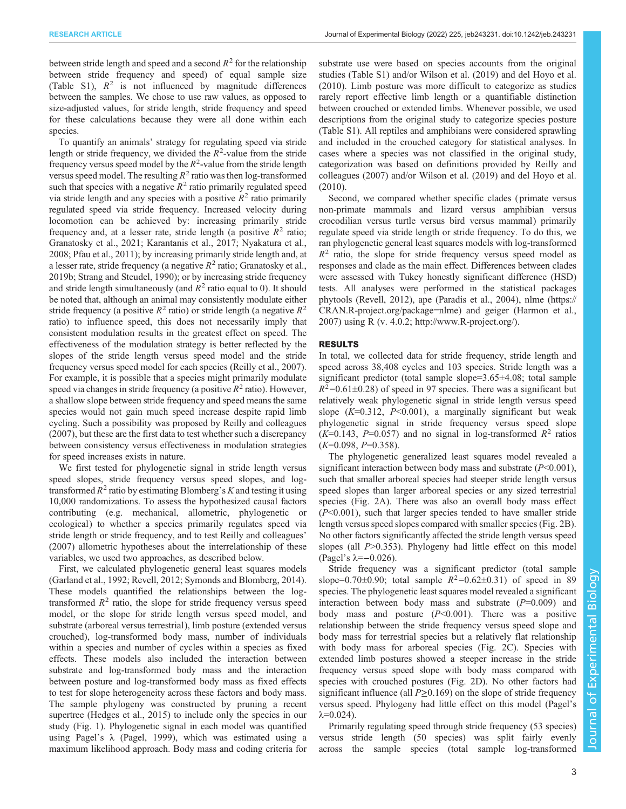between stride length and speed and a second  $R^2$  for the relationship between stride frequency and speed) of equal sample size [\(Table S1\)](https://journals.biologists.com/jeb/article-lookup/DOI/10.1242/jeb.243231),  $R^2$  is not influenced by magnitude differences between the samples. We chose to use raw values, as opposed to size-adjusted values, for stride length, stride frequency and speed for these calculations because they were all done within each species.

To quantify an animals' strategy for regulating speed via stride length or stride frequency, we divided the  $R^2$ -value from the stride<br>frequency versus speed model by the  $R^2$ -value from the stride length frequency versus speed model by the  $R^2$ -value from the stride length versus speed model. The resulting  $R^2$  ratio was then log-transformed versus speed model. The resulting  $R^2$  ratio was then log-transformed such that species with a negative  $R^2$  ratio primarily regulated speed via stride length and any species with a positive  $R^2$  ratio primarily regulated speed via stride frequency. Increased velocity during locomotion can be achieved by: increasing primarily stride frequency and, at a lesser rate, stride length (a positive  $R^2$  ratio; [Granatosky et al., 2021;](#page-7-0) [Karantanis et al., 2017; Nyakatura et al.,](#page-8-0) [2008](#page-8-0); [Pfau et al., 2011\)](#page-8-0); by increasing primarily stride length and, at a lesser rate, stride frequency (a negative  $R^2$  ratio; [Granatosky et al.,](#page-7-0) [2019b;](#page-7-0) [Strang and Steudel, 1990](#page-8-0)); or by increasing stride frequency and stride length simultaneously (and  $R^2$  ratio equal to 0). It should be noted that, although an animal may consistently modulate either stride frequency (a positive  $R^2$  ratio) or stride length (a negative  $R^2$ ratio) to influence speed, this does not necessarily imply that consistent modulation results in the greatest effect on speed. The effectiveness of the modulation strategy is better reflected by the slopes of the stride length versus speed model and the stride frequency versus speed model for each species [\(Reilly et al., 2007\)](#page-8-0). For example, it is possible that a species might primarily modulate speed via changes in stride frequency (a positive  $R^2$  ratio). However, a shallow slope between stride frequency and speed means the same species would not gain much speed increase despite rapid limb cycling. Such a possibility was proposed by [Reilly and colleagues](#page-8-0) [\(2007\)](#page-8-0), but these are the first data to test whether such a discrepancy between consistency versus effectiveness in modulation strategies for speed increases exists in nature.

We first tested for phylogenetic signal in stride length versus speed slopes, stride frequency versus speed slopes, and logtransformed  $R^2$  ratio by estimating Blomberg's K and testing it using 10,000 randomizations. To assess the hypothesized causal factors contributing (e.g. mechanical, allometric, phylogenetic or ecological) to whether a species primarily regulates speed via stride length or stride frequency, and to test [Reilly and colleagues](#page-8-0)' [\(2007\)](#page-8-0) allometric hypotheses about the interrelationship of these variables, we used two approaches, as described below.

First, we calculated phylogenetic general least squares models [\(Garland et al., 1992](#page-7-0); [Revell, 2012](#page-8-0); [Symonds and Blomberg, 2014\)](#page-8-0). These models quantified the relationships between the logtransformed  $R<sup>2</sup>$  ratio, the slope for stride frequency versus speed model, or the slope for stride length versus speed model, and substrate (arboreal versus terrestrial), limb posture (extended versus crouched), log-transformed body mass, number of individuals within a species and number of cycles within a species as fixed effects. These models also included the interaction between substrate and log-transformed body mass and the interaction between posture and log-transformed body mass as fixed effects to test for slope heterogeneity across these factors and body mass. The sample phylogeny was constructed by pruning a recent supertree [\(Hedges et al., 2015\)](#page-7-0) to include only the species in our study ([Fig. 1](#page-3-0)). Phylogenetic signal in each model was quantified using Pagel's λ ([Pagel, 1999](#page-8-0)), which was estimated using a maximum likelihood approach. Body mass and coding criteria for

substrate use were based on species accounts from the original studies ([Table S1\)](https://journals.biologists.com/jeb/article-lookup/DOI/10.1242/jeb.243231) and/or [Wilson et al. \(2019\)](#page-8-0) and [del Hoyo et al.](#page-7-0) [\(2010\)](#page-7-0). Limb posture was more difficult to categorize as studies rarely report effective limb length or a quantifiable distinction between crouched or extended limbs. Whenever possible, we used descriptions from the original study to categorize species posture [\(Table S1\)](https://journals.biologists.com/jeb/article-lookup/DOI/10.1242/jeb.243231). All reptiles and amphibians were considered sprawling and included in the crouched category for statistical analyses. In cases where a species was not classified in the original study, categorization was based on definitions provided by [Reilly and](#page-8-0) [colleagues \(2007\)](#page-8-0) and/or [Wilson et al. \(2019\)](#page-8-0) and [del Hoyo et al.](#page-7-0) [\(2010\)](#page-7-0).

Second, we compared whether specific clades ( primate versus non-primate mammals and lizard versus amphibian versus crocodilian versus turtle versus bird versus mammal) primarily regulate speed via stride length or stride frequency. To do this, we ran phylogenetic general least squares models with log-transformed  $R<sup>2</sup>$  ratio, the slope for stride frequency versus speed model as responses and clade as the main effect. Differences between clades were assessed with Tukey honestly significant difference (HSD) tests. All analyses were performed in the statistical packages phytools [\(Revell, 2012](#page-8-0)), ape [\(Paradis et al., 2004](#page-8-0)), nlme ([https://](https://CRAN.R-project.org/package=nlme) [CRAN.R-project.org/package=nlme](https://CRAN.R-project.org/package=nlme)) and geiger ([Harmon et al.,](#page-7-0) [2007\)](#page-7-0) using R (v. 4.0.2;<http://www.R-project.org/>).

#### RESULTS

In total, we collected data for stride frequency, stride length and speed across 38,408 cycles and 103 species. Stride length was a significant predictor (total sample slope=3.65±4.08; total sample  $R^2$ =0.61±0.28) of speed in 97 species. There was a significant but<br>relatively weak phylogenetic signal in stride length versus speed relatively weak phylogenetic signal in stride length versus speed slope  $(K=0.312, P<0.001)$ , a marginally significant but weak phylogenetic signal in stride frequency versus speed slope  $(K=0.143, P=0.057)$  and no signal in log-transformed  $R^2$  ratios  $(K=0.098, P=0.358).$ 

The phylogenetic generalized least squares model revealed a significant interaction between body mass and substrate  $(P<0.001)$ , such that smaller arboreal species had steeper stride length versus speed slopes than larger arboreal species or any sized terrestrial species ([Fig. 2A](#page-4-0)). There was also an overall body mass effect  $(P<0.001)$ , such that larger species tended to have smaller stride length versus speed slopes compared with smaller species ([Fig. 2](#page-4-0)B). No other factors significantly affected the stride length versus speed slopes (all P>0.353). Phylogeny had little effect on this model (Pagel's  $\lambda = -0.026$ ).

Stride frequency was a significant predictor (total sample slope=0.70 $\pm$ 0.90; total sample  $R^2$ =0.62 $\pm$ 0.31) of speed in 89<br>species The phylogenetic least squares model revealed a significant species. The phylogenetic least squares model revealed a significant interaction between body mass and substrate  $(P=0.009)$  and body mass and posture  $(P<0.001)$ . There was a positive relationship between the stride frequency versus speed slope and body mass for terrestrial species but a relatively flat relationship with body mass for arboreal species ([Fig. 2C](#page-4-0)). Species with extended limb postures showed a steeper increase in the stride frequency versus speed slope with body mass compared with species with crouched postures [\(Fig. 2](#page-4-0)D). No other factors had significant influence (all  $P > 0.169$ ) on the slope of stride frequency versus speed. Phylogeny had little effect on this model (Pagel's  $λ=0.024$ ).

Primarily regulating speed through stride frequency (53 species) versus stride length (50 species) was split fairly evenly across the sample species (total sample log-transformed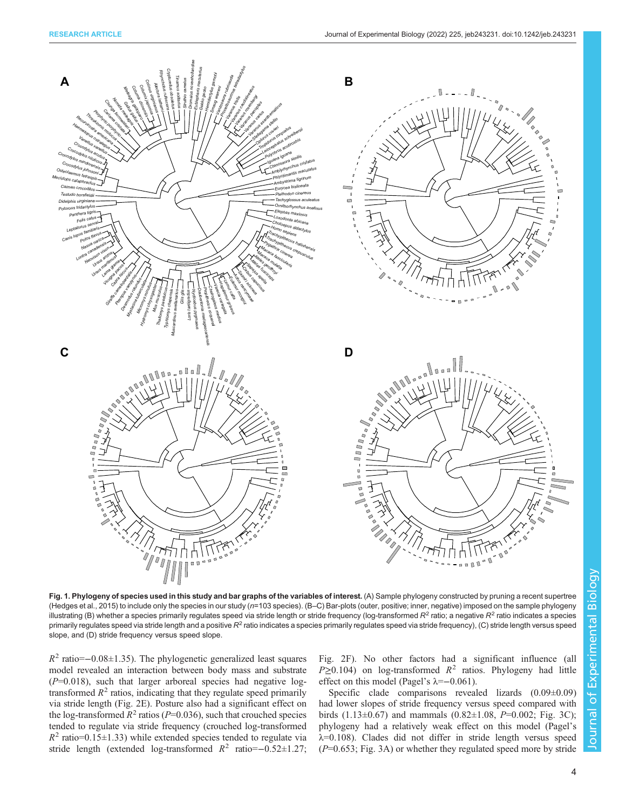<span id="page-3-0"></span>

Journal of Experimental Biology Journal of Experimental Biology

Fig. 1. Phylogeny of species used in this study and bar graphs of the variables of interest. (A) Sample phylogeny constructed by pruning a recent supertree [\(Hedges et al., 2015](#page-7-0)) to include only the species in our study (n=103 species). (B–C) Bar-plots (outer, positive; inner, negative) imposed on the sample phylogeny illustrating (B) whether a species primarily regulates speed via stride length or stride frequency (log-transformed  $R^2$  ratio; a negative  $R^2$  ratio indicates a species primarily regulates speed via stride length and a positive  $R^2$  ratio indicates a species primarily regulates speed via stride frequency), (C) stride length versus speed slope, and (D) stride frequency versus speed slope.

 $R^2$  ratio=−0.08±1.35). The phylogenetic generalized least squares model revealed an interaction between body mass and substrate  $(P=0.018)$ , such that larger arboreal species had negative logtransformed  $R<sup>2</sup>$  ratios, indicating that they regulate speed primarily via stride length [\(Fig. 2E](#page-4-0)). Posture also had a significant effect on the log-transformed  $R^2$  ratios ( $P=0.036$ ), such that crouched species tended to regulate via stride frequency (crouched log-transformed  $R^2$  ratio=0.15±1.33) while extended species tended to regulate via stride length (extended log-transformed  $R^2$  ratio=−0.52±1.27; [Fig. 2](#page-4-0)F). No other factors had a significant influence (all  $P\geq 0.104$ ) on log-transformed  $R^2$  ratios. Phylogeny had little effect on this model (Pagel's  $\lambda = -0.061$ ).

Specific clade comparisons revealed lizards (0.09±0.09) had lower slopes of stride frequency versus speed compared with birds (1.13±0.67) and mammals (0.82±1.08,  $P=0.002$ ; [Fig. 3](#page-5-0)C); phylogeny had a relatively weak effect on this model (Pagel's  $\lambda$ =0.108). Clades did not differ in stride length versus speed  $(P=0.653; Fig. 3A)$  $(P=0.653; Fig. 3A)$  $(P=0.653; Fig. 3A)$  or whether they regulated speed more by stride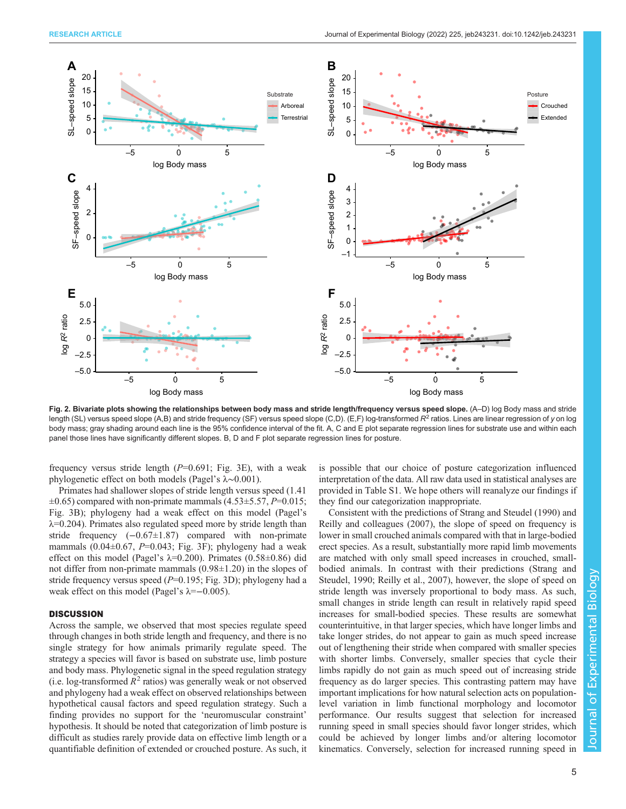<span id="page-4-0"></span>

Fig. 2. Bivariate plots showing the relationships between body mass and stride length/frequency versus speed slope. (A–D) log Body mass and stride length (SL) versus speed slope (A,B) and stride frequency (SF) versus speed slope (C,D). (E,F) log-transformed  $R^2$  ratios. Lines are linear regression of y on log body mass; gray shading around each line is the 95% confidence interval of the fit. A, C and E plot separate regression lines for substrate use and within each panel those lines have significantly different slopes. B, D and F plot separate regression lines for posture.

frequency versus stride length  $(P=0.691;$  [Fig. 3](#page-5-0)E), with a weak phylogenetic effect on both models (Pagel's λ∼0.001).

Primates had shallower slopes of stride length versus speed (1.41  $\pm 0.65$ ) compared with non-primate mammals (4.53 $\pm$ 5.57, P=0.015; [Fig. 3](#page-5-0)B); phylogeny had a weak effect on this model (Pagel's  $\lambda$ =0.204). Primates also regulated speed more by stride length than stride frequency (−0.67±1.87) compared with non-primate mammals  $(0.04\pm0.67, P=0.043; Fig. 3F)$  $(0.04\pm0.67, P=0.043; Fig. 3F)$  $(0.04\pm0.67, P=0.043; Fig. 3F)$ ; phylogeny had a weak effect on this model (Pagel's  $\lambda$ =0.200). Primates (0.58±0.86) did not differ from non-primate mammals (0.98±1.20) in the slopes of stride frequency versus speed  $(P=0.195; Fig. 3D)$  $(P=0.195; Fig. 3D)$  $(P=0.195; Fig. 3D)$ ; phylogeny had a weak effect on this model (Pagel's  $\lambda = -0.005$ ).

## **DISCUSSION**

Across the sample, we observed that most species regulate speed through changes in both stride length and frequency, and there is no single strategy for how animals primarily regulate speed. The strategy a species will favor is based on substrate use, limb posture and body mass. Phylogenetic signal in the speed regulation strategy (i.e. log-transformed  $R^2$  ratios) was generally weak or not observed and phylogeny had a weak effect on observed relationships between hypothetical causal factors and speed regulation strategy. Such a finding provides no support for the 'neuromuscular constraint' hypothesis. It should be noted that categorization of limb posture is difficult as studies rarely provide data on effective limb length or a quantifiable definition of extended or crouched posture. As such, it is possible that our choice of posture categorization influenced interpretation of the data. All raw data used in statistical analyses are provided in [Table S1](https://journals.biologists.com/jeb/article-lookup/DOI/10.1242/jeb.243231). We hope others will reanalyze our findings if they find our categorization inappropriate.

Consistent with the predictions of [Strang and Steudel \(1990\)](#page-8-0) and [Reilly and colleagues \(2007\),](#page-8-0) the slope of speed on frequency is lower in small crouched animals compared with that in large-bodied erect species. As a result, substantially more rapid limb movements are matched with only small speed increases in crouched, smallbodied animals. In contrast with their predictions ([Strang and](#page-8-0) [Steudel, 1990](#page-8-0); [Reilly et al., 2007\),](#page-8-0) however, the slope of speed on stride length was inversely proportional to body mass. As such, small changes in stride length can result in relatively rapid speed increases for small-bodied species. These results are somewhat counterintuitive, in that larger species, which have longer limbs and take longer strides, do not appear to gain as much speed increase out of lengthening their stride when compared with smaller species with shorter limbs. Conversely, smaller species that cycle their limbs rapidly do not gain as much speed out of increasing stride frequency as do larger species. This contrasting pattern may have important implications for how natural selection acts on populationlevel variation in limb functional morphology and locomotor performance. Our results suggest that selection for increased running speed in small species should favor longer strides, which could be achieved by longer limbs and/or altering locomotor kinematics. Conversely, selection for increased running speed in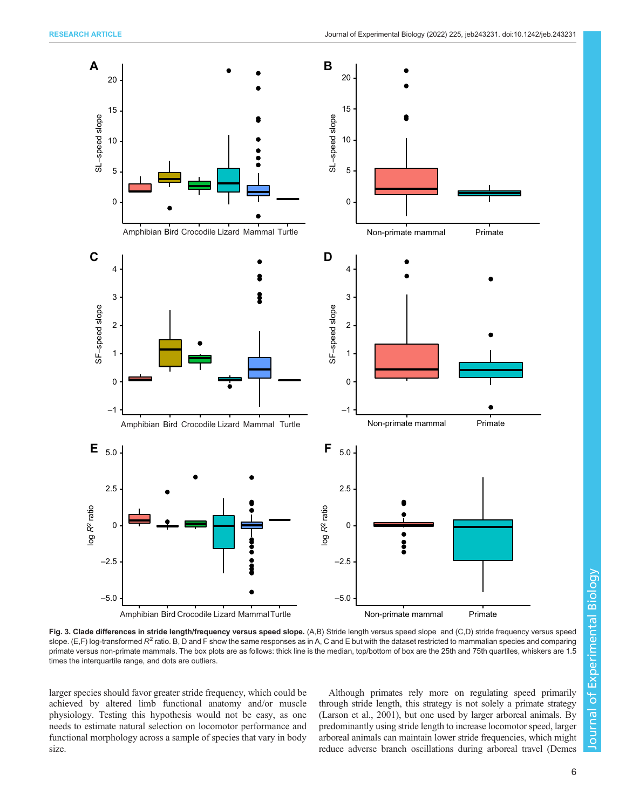<span id="page-5-0"></span>

Fig. 3. Clade differences in stride length/frequency versus speed slope. (A,B) Stride length versus speed slope and (C,D) stride frequency versus speed slope. (E,F) log-transformed  $R^2$  ratio. B, D and F show the same responses as in A, C and E but with the dataset restricted to mammalian species and comparing primate versus non-primate mammals. The box plots are as follows: thick line is the median, top/bottom of box are the 25th and 75th quartiles, whiskers are 1.5 times the interquartile range, and dots are outliers.

larger species should favor greater stride frequency, which could be achieved by altered limb functional anatomy and/or muscle physiology. Testing this hypothesis would not be easy, as one needs to estimate natural selection on locomotor performance and functional morphology across a sample of species that vary in body size.

Although primates rely more on regulating speed primarily through stride length, this strategy is not solely a primate strategy [\(Larson et al., 2001](#page-8-0)), but one used by larger arboreal animals. By predominantly using stride length to increase locomotor speed, larger arboreal animals can maintain lower stride frequencies, which might reduce adverse branch oscillations during arboreal travel [\(Demes](#page-7-0)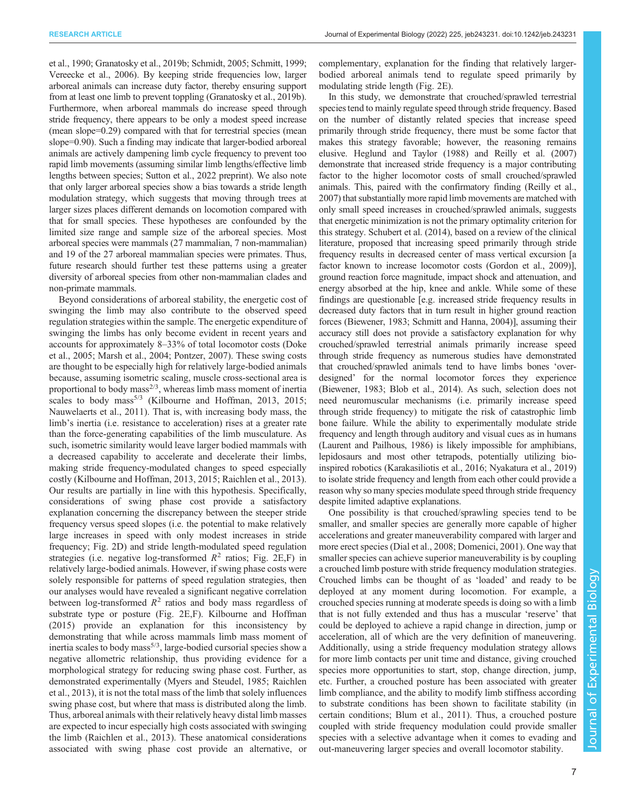[et al., 1990; Granatosky et al., 2019b;](#page-7-0) [Schmidt, 2005](#page-8-0); [Schmitt, 1999](#page-8-0); [Vereecke et al., 2006\)](#page-8-0). By keeping stride frequencies low, larger arboreal animals can increase duty factor, thereby ensuring support from at least one limb to prevent toppling [\(Granatosky et al., 2019b\)](#page-7-0). Furthermore, when arboreal mammals do increase speed through stride frequency, there appears to be only a modest speed increase (mean slope=0.29) compared with that for terrestrial species (mean slope=0.90). Such a finding may indicate that larger-bodied arboreal animals are actively dampening limb cycle frequency to prevent too rapid limb movements (assuming similar limb lengths/effective limb lengths between species; [Sutton et al., 2022](#page-8-0) preprint). We also note that only larger arboreal species show a bias towards a stride length modulation strategy, which suggests that moving through trees at larger sizes places different demands on locomotion compared with that for small species. These hypotheses are confounded by the limited size range and sample size of the arboreal species. Most arboreal species were mammals (27 mammalian, 7 non-mammalian) and 19 of the 27 arboreal mammalian species were primates. Thus, future research should further test these patterns using a greater diversity of arboreal species from other non-mammalian clades and non-primate mammals.

Beyond considerations of arboreal stability, the energetic cost of swinging the limb may also contribute to the observed speed regulation strategies within the sample. The energetic expenditure of swinging the limbs has only become evident in recent years and accounts for approximately 8–33% of total locomotor costs ([Doke](#page-7-0) [et al., 2005;](#page-7-0) [Marsh et al., 2004](#page-8-0); [Pontzer, 2007\)](#page-8-0). These swing costs are thought to be especially high for relatively large-bodied animals because, assuming isometric scaling, muscle cross-sectional area is proportional to body mass $^{2/3}$ , whereas limb mass moment of inertia scales to body mass<sup>5/3</sup> [\(Kilbourne and Hoffman, 2013, 2015](#page-8-0); [Nauwelaerts et al., 2011](#page-8-0)). That is, with increasing body mass, the limb's inertia (i.e. resistance to acceleration) rises at a greater rate than the force-generating capabilities of the limb musculature. As such, isometric similarity would leave larger bodied mammals with a decreased capability to accelerate and decelerate their limbs, making stride frequency-modulated changes to speed especially costly ([Kilbourne and Hoffman, 2013](#page-8-0), [2015; Raichlen et al., 2013\)](#page-8-0). Our results are partially in line with this hypothesis. Specifically, considerations of swing phase cost provide a satisfactory explanation concerning the discrepancy between the steeper stride frequency versus speed slopes (i.e. the potential to make relatively large increases in speed with only modest increases in stride frequency; [Fig. 2](#page-4-0)D) and stride length-modulated speed regulation strategies (i.e. negative log-transformed  $R^2$  ratios; [Fig. 2E](#page-4-0),F) in relatively large-bodied animals. However, if swing phase costs were solely responsible for patterns of speed regulation strategies, then our analyses would have revealed a significant negative correlation between log-transformed  $R^2$  ratios and body mass regardless of substrate type or posture [\(Fig. 2](#page-4-0)E,F). [Kilbourne and Hoffman](#page-8-0) [\(2015\)](#page-8-0) provide an explanation for this inconsistency by demonstrating that while across mammals limb mass moment of inertia scales to body mass<sup>5/3</sup>, large-bodied cursorial species show a negative allometric relationship, thus providing evidence for a morphological strategy for reducing swing phase cost. Further, as demonstrated experimentally ([Myers and Steudel, 1985; Raichlen](#page-8-0) [et al., 2013](#page-8-0)), it is not the total mass of the limb that solely influences swing phase cost, but where that mass is distributed along the limb. Thus, arboreal animals with their relatively heavy distal limb masses are expected to incur especially high costs associated with swinging the limb [\(Raichlen et al., 2013](#page-8-0)). These anatomical considerations associated with swing phase cost provide an alternative, or

complementary, explanation for the finding that relatively largerbodied arboreal animals tend to regulate speed primarily by modulating stride length [\(Fig. 2](#page-4-0)E).

In this study, we demonstrate that crouched/sprawled terrestrial species tend to mainly regulate speed through stride frequency. Based on the number of distantly related species that increase speed primarily through stride frequency, there must be some factor that makes this strategy favorable; however, the reasoning remains elusive. [Heglund and Taylor \(1988\)](#page-7-0) and [Reilly et al. \(2007\)](#page-8-0) demonstrate that increased stride frequency is a major contributing factor to the higher locomotor costs of small crouched/sprawled animals. This, paired with the confirmatory finding [\(Reilly et al.,](#page-8-0) [2007\)](#page-8-0) that substantially more rapid limb movements are matched with only small speed increases in crouched/sprawled animals, suggests that energetic minimization is not the primary optimality criterion for this strategy. [Schubert et al. \(2014\)](#page-8-0), based on a review of the clinical literature, proposed that increasing speed primarily through stride frequency results in decreased center of mass vertical excursion [a factor known to increase locomotor costs ([Gordon et al., 2009\)](#page-7-0)], ground reaction force magnitude, impact shock and attenuation, and energy absorbed at the hip, knee and ankle. While some of these findings are questionable [e.g. increased stride frequency results in decreased duty factors that in turn result in higher ground reaction forces ([Biewener, 1983](#page-7-0); [Schmitt and Hanna, 2004\)](#page-8-0)], assuming their accuracy still does not provide a satisfactory explanation for why crouched/sprawled terrestrial animals primarily increase speed through stride frequency as numerous studies have demonstrated that crouched/sprawled animals tend to have limbs bones 'overdesigned' for the normal locomotor forces they experience [\(Biewener, 1983; Blob et al., 2014\)](#page-7-0). As such, selection does not need neuromuscular mechanisms (i.e. primarily increase speed through stride frequency) to mitigate the risk of catastrophic limb bone failure. While the ability to experimentally modulate stride frequency and length through auditory and visual cues as in humans [\(Laurent and Pailhous, 1986](#page-8-0)) is likely impossible for amphibians, lepidosaurs and most other tetrapods, potentially utilizing bioinspired robotics [\(Karakasiliotis et al., 2016; Nyakatura et al., 2019\)](#page-8-0) to isolate stride frequency and length from each other could provide a reason why so many species modulate speed through stride frequency despite limited adaptive explanations.

One possibility is that crouched/sprawling species tend to be smaller, and smaller species are generally more capable of higher accelerations and greater maneuverability compared with larger and more erect species ([Dial et al., 2008; Domenici, 2001](#page-7-0)). One way that smaller species can achieve superior maneuverability is by coupling a crouched limb posture with stride frequency modulation strategies. Crouched limbs can be thought of as 'loaded' and ready to be deployed at any moment during locomotion. For example, a crouched species running at moderate speeds is doing so with a limb that is not fully extended and thus has a muscular 'reserve' that could be deployed to achieve a rapid change in direction, jump or acceleration, all of which are the very definition of maneuvering. Additionally, using a stride frequency modulation strategy allows for more limb contacts per unit time and distance, giving crouched species more opportunities to start, stop, change direction, jump, etc. Further, a crouched posture has been associated with greater limb compliance, and the ability to modify limb stiffness according to substrate conditions has been shown to facilitate stability (in certain conditions; [Blum et al., 2011](#page-7-0)). Thus, a crouched posture coupled with stride frequency modulation could provide smaller species with a selective advantage when it comes to evading and out-maneuvering larger species and overall locomotor stability.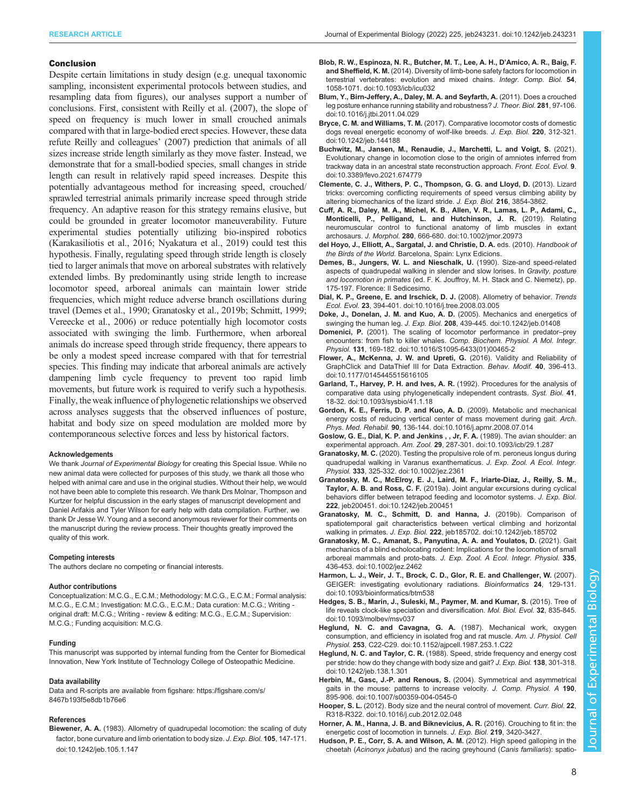#### <span id="page-7-0"></span>Conclusion

Despite certain limitations in study design (e.g. unequal taxonomic sampling, inconsistent experimental protocols between studies, and resampling data from figures), our analyses support a number of conclusions. First, consistent with [Reilly et al. \(2007\),](#page-8-0) the slope of speed on frequency is much lower in small crouched animals compared with that in large-bodied erect species. However, these data refute [Reilly and colleagues](#page-8-0)' (2007) prediction that animals of all sizes increase stride length similarly as they move faster. Instead, we demonstrate that for a small-bodied species, small changes in stride length can result in relatively rapid speed increases. Despite this potentially advantageous method for increasing speed, crouched/ sprawled terrestrial animals primarily increase speed through stride frequency. An adaptive reason for this strategy remains elusive, but could be grounded in greater locomotor maneuverability. Future experimental studies potentially utilizing bio-inspired robotics [\(Karakasiliotis et al., 2016; Nyakatura et al., 2019\)](#page-8-0) could test this hypothesis. Finally, regulating speed through stride length is closely tied to larger animals that move on arboreal substrates with relatively extended limbs. By predominantly using stride length to increase locomotor speed, arboreal animals can maintain lower stride frequencies, which might reduce adverse branch oscillations during travel (Demes et al., 1990; Granatosky et al., 2019b; [Schmitt, 1999](#page-8-0); [Vereecke et al., 2006](#page-8-0)) or reduce potentially high locomotor costs associated with swinging the limb. Furthermore, when arboreal animals do increase speed through stride frequency, there appears to be only a modest speed increase compared with that for terrestrial species. This finding may indicate that arboreal animals are actively dampening limb cycle frequency to prevent too rapid limb movements, but future work is required to verify such a hypothesis. Finally, the weak influence of phylogenetic relationships we observed across analyses suggests that the observed influences of posture, habitat and body size on speed modulation are molded more by contemporaneous selective forces and less by historical factors.

#### Acknowledgements

We thank Journal of Experimental Biology for creating this Special Issue. While no new animal data were collected for purposes of this study, we thank all those who helped with animal care and use in the original studies. Without their help, we would not have been able to complete this research. We thank Drs Molnar, Thompson and Kurtzer for helpful discussion in the early stages of manuscript development and Daniel Arifakis and Tyler Wilson for early help with data compilation. Further, we thank Dr Jesse W. Young and a second anonymous reviewer for their comments on the manuscript during the review process. Their thoughts greatly improved the quality of this work.

#### Competing interests

The authors declare no competing or financial interests.

#### Author contributions

Conceptualization: M.C.G., E.C.M.; Methodology: M.C.G., E.C.M.; Formal analysis: M.C.G., E.C.M.; Investigation: M.C.G., E.C.M.; Data curation: M.C.G.; Writing original draft: M.C.G.; Writing - review & editing: M.C.G., E.C.M.; Supervision: M.C.G.; Funding acquisition: M.C.G.

#### Funding

This manuscript was supported by internal funding from the Center for Biomedical Innovation, New York Institute of Technology College of Osteopathic Medicine.

#### Data availability

Data and R-scripts are available from figshare: [https://figshare.com/s/](https://figshare.com/s/8467b193f5e8db1b76e6) [8467b193f5e8db1b76e6](https://figshare.com/s/8467b193f5e8db1b76e6)

#### References

Biewener, A. A. [\(1983\). Allometry of quadrupedal locomotion: the scaling of duty](https://doi.org/10.1242/jeb.105.1.147) [factor, bone curvature and limb orientation to body size.](https://doi.org/10.1242/jeb.105.1.147) J. Exp. Biol. 105, 147-171. [doi:10.1242/jeb.105.1.147](https://doi.org/10.1242/jeb.105.1.147)

- [Blob, R. W., Espinoza, N. R., Butcher, M. T., Lee, A. H., D](https://doi.org/10.1093/icb/icu032)'Amico, A. R., Baig, F. and Sheffield, K. M. [\(2014\). Diversity of limb-bone safety factors for locomotion in](https://doi.org/10.1093/icb/icu032) [terrestrial vertebrates: evolution and mixed chains.](https://doi.org/10.1093/icb/icu032) Integr. Comp. Biol. 54, [1058-1071. doi:10.1093/icb/icu032](https://doi.org/10.1093/icb/icu032)
- [Blum, Y., Birn-Jeffery, A., Daley, M. A. and Seyfarth, A.](https://doi.org/10.1016/j.jtbi.2011.04.029) (2011). Does a crouched [leg posture enhance running stability and robustness?](https://doi.org/10.1016/j.jtbi.2011.04.029) J. Theor. Biol. 281, 97-106. [doi:10.1016/j.jtbi.2011.04.029](https://doi.org/10.1016/j.jtbi.2011.04.029)
- Bryce, C. M. and Williams, T. M. [\(2017\). Comparative locomotor costs of domestic](https://doi.org/10.1242/jeb.144188) [dogs reveal energetic economy of wolf-like breeds.](https://doi.org/10.1242/jeb.144188) J. Exp. Biol. 220, 312-321. [doi:10.1242/jeb.144188](https://doi.org/10.1242/jeb.144188)
- [Buchwitz, M., Jansen, M., Renaudie, J., Marchetti, L. and Voigt, S.](https://doi.org/10.3389/fevo.2021.674779) (2021). [Evolutionary change in locomotion close to the origin of amniotes inferred from](https://doi.org/10.3389/fevo.2021.674779) [trackway data in an ancestral state reconstruction approach.](https://doi.org/10.3389/fevo.2021.674779) Front. Ecol. Evol. 9. [doi:10.3389/fevo.2021.674779](https://doi.org/10.3389/fevo.2021.674779)
- Clemente, C. J., Withers, P. C., Thompson, G. G. and Lloyd, D. (2013). Lizard tricks: overcoming conflicting requirements of speed versus climbing ability by altering biomechanics of the lizard stride. J. Exp. Biol. 216, 3854-3862.
- [Cuff, A. R., Daley, M. A., Michel, K. B., Allen, V. R., Lamas, L. P., Adami, C.,](https://doi.org/10.1002/jmor.20973) [Monticelli, P., Pelligand, L. and Hutchinson, J. R.](https://doi.org/10.1002/jmor.20973) (2019). Relating [neuromuscular control to functional anatomy of limb muscles in extant](https://doi.org/10.1002/jmor.20973) archosaurs. J. Morphol. 280[, 666-680. doi:10.1002/jmor.20973](https://doi.org/10.1002/jmor.20973)
- del Hoyo, J., Elliott, A., Sargatal, J. and Christie, D. A. eds. (2010). Handbook of the Birds of the World. Barcelona, Spain: Lynx Edicions.
- Demes, B., Jungers, W. L. and Nieschalk, U. (1990). Size-and speed-related aspects of quadrupedal walking in slender and slow lorises. In Gravity, posture and locomotion in primates (ed. F. K. Jouffroy, M. H. Stack and C. Niemetz), pp. 175-197. Florence: Il Sedicesimo.
- [Dial, K. P., Greene, E. and Irschick, D. J.](https://doi.org/10.1016/j.tree.2008.03.005) (2008). Allometry of behavior. Trends Ecol. Evol. 23[, 394-401. doi:10.1016/j.tree.2008.03.005](https://doi.org/10.1016/j.tree.2008.03.005)
- [Doke, J., Donelan, J. M. and Kuo, A. D.](https://doi.org/10.1242/jeb.01408) (2005). Mechanics and energetics of swinging the human leg. J. Exp. Biol. 208[, 439-445. doi:10.1242/jeb.01408](https://doi.org/10.1242/jeb.01408)
- Domenici, P. [\(2001\). The scaling of locomotor performance in predator](https://doi.org/10.1016/S1095-6433(01)00465-2)–prey encounters: from fish to killer whales. [Comp. Biochem. Physiol. A Mol. Integr.](https://doi.org/10.1016/S1095-6433(01)00465-2) Physiol. 131[, 169-182. doi:10.1016/S1095-6433\(01\)00465-2](https://doi.org/10.1016/S1095-6433(01)00465-2)
- [Flower, A., McKenna, J. W. and Upreti, G.](https://doi.org/10.1177/0145445515616105) (2016). Validity and Reliability of [GraphClick and DataThief III for Data Extraction.](https://doi.org/10.1177/0145445515616105) Behav. Modif. 40, 396-413. [doi:10.1177/0145445515616105](https://doi.org/10.1177/0145445515616105)
- [Garland, T., Harvey, P. H. and Ives, A. R.](https://doi.org/10.1093/sysbio/41.1.18) (1992). Procedures for the analysis of [comparative data using phylogenetically independent contrasts.](https://doi.org/10.1093/sysbio/41.1.18) Syst. Biol. 41, [18-32. doi:10.1093/sysbio/41.1.18](https://doi.org/10.1093/sysbio/41.1.18)
- [Gordon, K. E., Ferris, D. P. and Kuo, A. D.](https://doi.org/10.1016/j.apmr.2008.07.014) (2009). Metabolic and mechanical [energy costs of reducing vertical center of mass movement during gait.](https://doi.org/10.1016/j.apmr.2008.07.014) Arch. Phys. Med. Rehabil. 90[, 136-144. doi:10.1016/j.apmr.2008.07.014](https://doi.org/10.1016/j.apmr.2008.07.014)
- [Goslow, G. E., Dial, K. P. and Jenkins , , Jr, F. A.](https://doi.org/10.1093/icb/29.1.287) (1989). The avian shoulder: an experimental approach. Am. Zool. 29[, 287-301. doi:10.1093/icb/29.1.287](https://doi.org/10.1093/icb/29.1.287)
- Granatosky, M. C. [\(2020\). Testing the propulsive role of m. peroneus longus during](https://doi.org/10.1002/jez.2361) [quadrupedal walking in Varanus exanthematicus.](https://doi.org/10.1002/jez.2361) J. Exp. Zool. A Ecol. Integr. Physiol. 333[, 325-332. doi:10.1002/jez.2361](https://doi.org/10.1002/jez.2361)
- [Granatosky, M. C., McElroy, E. J., Laird, M. F., Iriarte-Diaz, J., Reilly, S. M.,](https://doi.org/10.1242/jeb.200451) Taylor, A. B. and Ross, C. F. [\(2019a\). Joint angular excursions during cyclical](https://doi.org/10.1242/jeb.200451) [behaviors differ between tetrapod feeding and locomotor systems.](https://doi.org/10.1242/jeb.200451) J. Exp. Biol. 222[, jeb200451. doi:10.1242/jeb.200451](https://doi.org/10.1242/jeb.200451)
- [Granatosky, M. C., Schmitt, D. and Hanna, J.](https://doi.org/10.1242/jeb.185702) (2019b). Comparison of [spatiotemporal gait characteristics between vertical climbing and horizontal](https://doi.org/10.1242/jeb.185702) walking in primates. J. Exp. Biol. 222[, jeb185702. doi:10.1242/jeb.185702](https://doi.org/10.1242/jeb.185702)
- [Granatosky, M. C., Amanat, S., Panyutina, A. A. and Youlatos, D.](https://doi.org/10.1002/jez.2462) (2021). Gait [mechanics of a blind echolocating rodent: Implications for the locomotion of small](https://doi.org/10.1002/jez.2462) arboreal mammals and proto-bats. [J. Exp. Zool. A Ecol. Integr. Physiol.](https://doi.org/10.1002/jez.2462) 335, [436-453. doi:10.1002/jez.2462](https://doi.org/10.1002/jez.2462)
- [Harmon, L. J., Weir, J. T., Brock, C. D., Glor, R. E. and Challenger, W.](https://doi.org/10.1093/bioinformatics/btm538) (2007). [GEIGER: investigating evolutionary radiations.](https://doi.org/10.1093/bioinformatics/btm538) Bioinformatics 24, 129-131. [doi:10.1093/bioinformatics/btm538](https://doi.org/10.1093/bioinformatics/btm538)
- [Hedges, S. B., Marin, J., Suleski, M., Paymer, M. and Kumar, S.](https://doi.org/10.1093/molbev/msv037) (2015). Tree of [life reveals clock-like speciation and diversification.](https://doi.org/10.1093/molbev/msv037) Mol. Biol. Evol. 32, 835-845. [doi:10.1093/molbev/msv037](https://doi.org/10.1093/molbev/msv037)
- [Heglund, N. C. and Cavagna, G. A.](https://doi.org/10.1152/ajpcell.1987.253.1.C22) (1987). Mechanical work, oxygen [consumption, and efficiency in isolated frog and rat muscle.](https://doi.org/10.1152/ajpcell.1987.253.1.C22) Am. J. Physiol. Cell Physiol. 253[, C22-C29. doi:10.1152/ajpcell.1987.253.1.C22](https://doi.org/10.1152/ajpcell.1987.253.1.C22)
- Heglund, N. C. and Taylor, C. R. [\(1988\). Speed, stride frequency and energy cost](https://doi.org/10.1242/jeb.138.1.301) [per stride: how do they change with body size and gait?](https://doi.org/10.1242/jeb.138.1.301) J. Exp. Biol. 138, 301-318. [doi:10.1242/jeb.138.1.301](https://doi.org/10.1242/jeb.138.1.301)
- [Herbin, M., Gasc, J.-P. and Renous, S.](https://doi.org/10.1007/s00359-004-0545-0) (2004). Symmetrical and asymmetrical [gaits in the mouse: patterns to increase velocity.](https://doi.org/10.1007/s00359-004-0545-0) J. Comp. Physiol. A 190, [895-906. doi:10.1007/s00359-004-0545-0](https://doi.org/10.1007/s00359-004-0545-0)
- Hooper, S. L. [\(2012\). Body size and the neural control of movement.](https://doi.org/10.1016/j.cub.2012.02.048) Curr. Biol. 22, [R318-R322. doi:10.1016/j.cub.2012.02.048](https://doi.org/10.1016/j.cub.2012.02.048)
- Horner, A. M., Hanna, J. B. and Biknevicius, A. R. (2016). Crouching to fit in: the energetic cost of locomotion in tunnels. J. Exp. Biol. 219, 3420-3427.
- [Hudson, P. E., Corr, S. A. and Wilson, A. M.](https://doi.org/10.1242/jeb.066720) (2012). High speed galloping in the cheetah (Acinonyx jubatus[\) and the racing greyhound \(](https://doi.org/10.1242/jeb.066720)Canis familiaris): spatio-